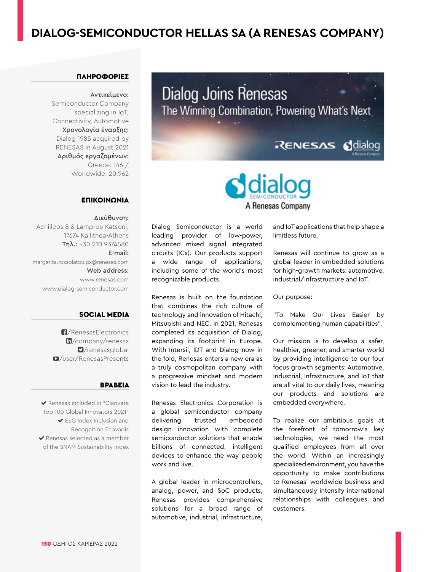# **DIALOG-SEMICONDUCTOR HELLAS SA (A RENESAS COMPANY)**

# ΠΛΗΡΟΦΟΡΙΕΣ

#### Αντικείμενο:

Semiconductor Company specializing in IoT, Connectivity, Automotive Χρονολογία έναρξης: Dialog 1985 acquired by RENESAS in August 2021 Αριθμός εργαζομένων: Greece: 146 / Worldwide: 20.962

#### ΕΠΙΚΟΙΝΩΝΙΑ

### Διεύθυνση:

Achilleos 8 & Lamprou Katsoni, 17674 Kallithea-Athens Τηλ.: +30 210 9374580 E-mail: margarita.rossolatou.px@renesas.com Web address: www.renesas.com www.dialog-semiconductor.com

# SOCIAL MEDIA

[/RenesasElectronics](https://www.facebook.com/RenesasElectronics/) m[/company/renesas](https://www.linkedin.com/company/renesas/) [/renesasglobal](https://twitter.com/renesasglobal) [/user/RenesasPresents](https://www.youtube.com/user/renesaspresents)

#### ΒΡΑΒΕΊΑ

 Renesas included in "Clarivate Top 100 Global Innovators 2021" ESG Index Inclusion and Recognition Ecovadis  $\blacktriangleright$  Renesas selected as a member of the SNAM Sustainability Index

Dialog Joins Renesas The Winning Combination, Powering What's Next RENESAS Sdialog



Dialog Semiconductor is a world leading provider of low-power, advanced mixed signal integrated circuits (ICs). Our products support a wide range of applications, including some of the world's most recognizable products.

Renesas is built on the foundation that combines the rich culture of technology and innovation of Hitachi, Mitsubishi and NEC. In 2021, Renesas completed its acquisition of Dialog, expanding its footprint in Europe. With Intersil, IDT and Dialog now in the fold, Renesas enters a new era as a truly cosmopolitan company with a progressive mindset and modern vision to lead the industry.

Renesas Electronics Corporation is a global semiconductor company delivering trusted embedded design innovation with complete semiconductor solutions that enable billions of connected, intelligent devices to enhance the way people work and live.

A global leader in microcontrollers, analog, power, and SoC products, Renesas provides comprehensive solutions for a broad range of automotive, industrial, infrastructure,

and IoT applications that help shape a limitless future.

Renesas will continue to grow as a global leader in embedded solutions for high-growth markets: automotive, industrial/infrastructure and IoT.

#### Our purpose:

"To Make Our Lives Easier by complementing human capabilities".

Our mission is to develop a safer, healthier, greener, and smarter world by providing intelligence to our four focus growth segments: Automotive, Industrial, Infrastructure, and IoT that are all vital to our daily lives, meaning our products and solutions are embedded everywhere.

To realize our ambitious goals at the forefront of tomorrow's key technologies, we need the most qualified employees from all over the world. Within an increasingly specialized environment, you have the opportunity to make contributions to Renesas' worldwide business and simultaneously intensify international relationships with colleagues and customers.